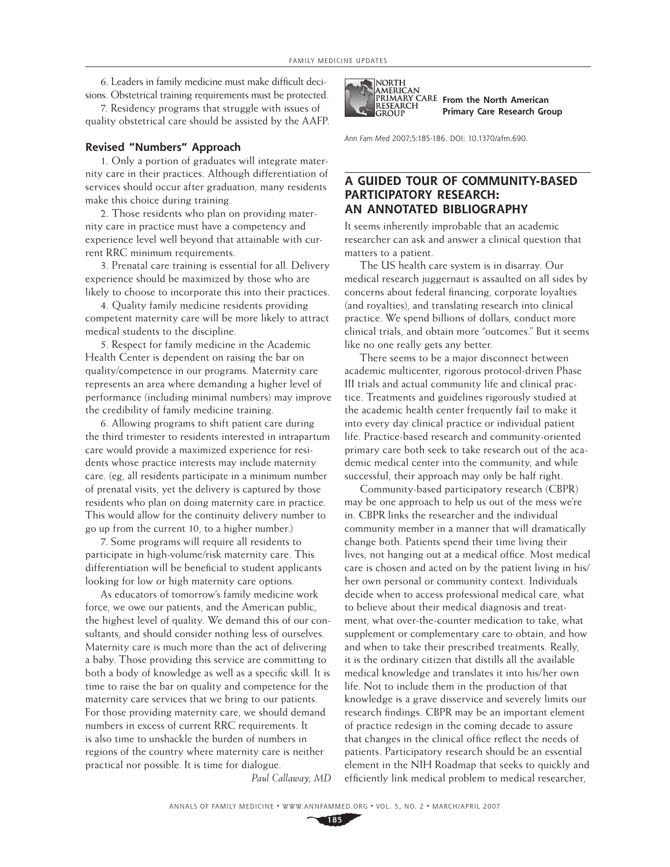6. Leaders in family medicine must make difficult decisions. Obstetrical training requirements must be protected.

7. Residency programs that struggle with issues of quality obstetrical care should be assisted by the AAFP.

#### **Revised "Numbers" Approach**

1. Only a portion of graduates will integrate maternity care in their practices. Although differentiation of services should occur after graduation, many residents make this choice during training.

2. Those residents who plan on providing maternity care in practice must have a competency and experience level well beyond that attainable with current RRC minimum requirements.

3. Prenatal care training is essential for all. Delivery experience should be maximized by those who are likely to choose to incorporate this into their practices.

4. Quality family medicine residents providing competent maternity care will be more likely to attract medical students to the discipline.

5. Respect for family medicine in the Academic Health Center is dependent on raising the bar on quality/competence in our programs. Maternity care represents an area where demanding a higher level of performance (including minimal numbers) may improve the credibility of family medicine training.

6. Allowing programs to shift patient care during the third trimester to residents interested in intrapartum care would provide a maximized experience for residents whose practice interests may include maternity care. (eg, all residents participate in a minimum number of prenatal visits, yet the delivery is captured by those residents who plan on doing maternity care in practice. This would allow for the continuity delivery number to go up from the current 10, to a higher number.)

7. Some programs will require all residents to participate in high-volume/risk maternity care. This differentiation will be beneficial to student applicants looking for low or high maternity care options.

As educators of tomorrow's family medicine work force, we owe our patients, and the American public, the highest level of quality. We demand this of our consultants, and should consider nothing less of ourselves. Maternity care is much more than the act of delivering a baby. Those providing this service are committing to both a body of knowledge as well as a specific skill. It is time to raise the bar on quality and competence for the maternity care services that we bring to our patients. For those providing maternity care, we should demand numbers in excess of current RRC requirements. It is also time to unshackle the burden of numbers in regions of the country where maternity care is neither practical nor possible. It is time for dialogue. *Paul Callaway, MD*



**FIMARY CARE From the North American Primary Care Research Group**

Ann Fam Med 2007;5:185-186. DOI: 10.1370/afm.690.

## **A GUIDED TOUR OF COMMUNITY-BASED PARTICIPATORY RESEARCH: AN ANNOTATED BIBLIOGRAPHY**

It seems inherently improbable that an academic researcher can ask and answer a clinical question that matters to a patient.

The US health care system is in disarray. Our medical research juggernaut is assaulted on all sides by concerns about federal financing, corporate loyalties (and royalties), and translating research into clinical practice. We spend billions of dollars, conduct more clinical trials, and obtain more "outcomes." But it seems like no one really gets any better.

There seems to be a major disconnect between academic multicenter, rigorous protocol-driven Phase III trials and actual community life and clinical practice. Treatments and guidelines rigorously studied at the academic health center frequently fail to make it into every day clinical practice or individual patient life. Practice-based research and community-oriented primary care both seek to take research out of the academic medical center into the community, and while successful, their approach may only be half right.

Community-based participatory research (CBPR) may be one approach to help us out of the mess we're in. CBPR links the researcher and the individual community member in a manner that will dramatically change both. Patients spend their time living their lives, not hanging out at a medical office. Most medical care is chosen and acted on by the patient living in his/ her own personal or community context. Individuals decide when to access professional medical care, what to believe about their medical diagnosis and treatment, what over-the-counter medication to take, what supplement or complementary care to obtain, and how and when to take their prescribed treatments. Really, it is the ordinary citizen that distills all the available medical knowledge and translates it into his/her own life. Not to include them in the production of that knowledge is a grave disservice and severely limits our research findings. CBPR may be an important element of practice redesign in the coming decade to assure that changes in the clinical office reflect the needs of patients. Participatory research should be an essential element in the NIH Roadmap that seeks to quickly and efficiently link medical problem to medical researcher,

**185**